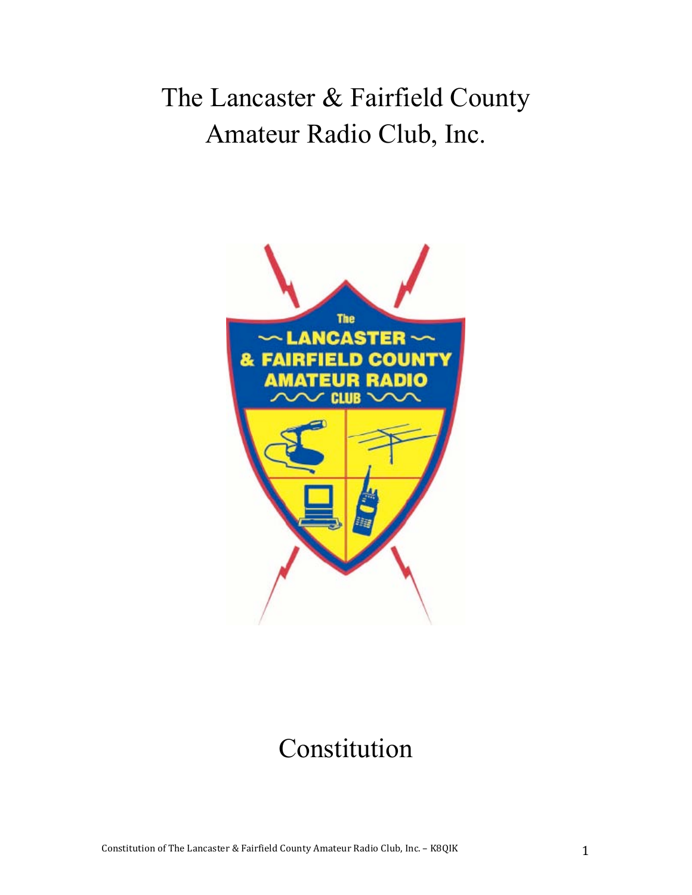# The Lancaster & Fairfield County Amateur Radio Club, Inc.



# Constitution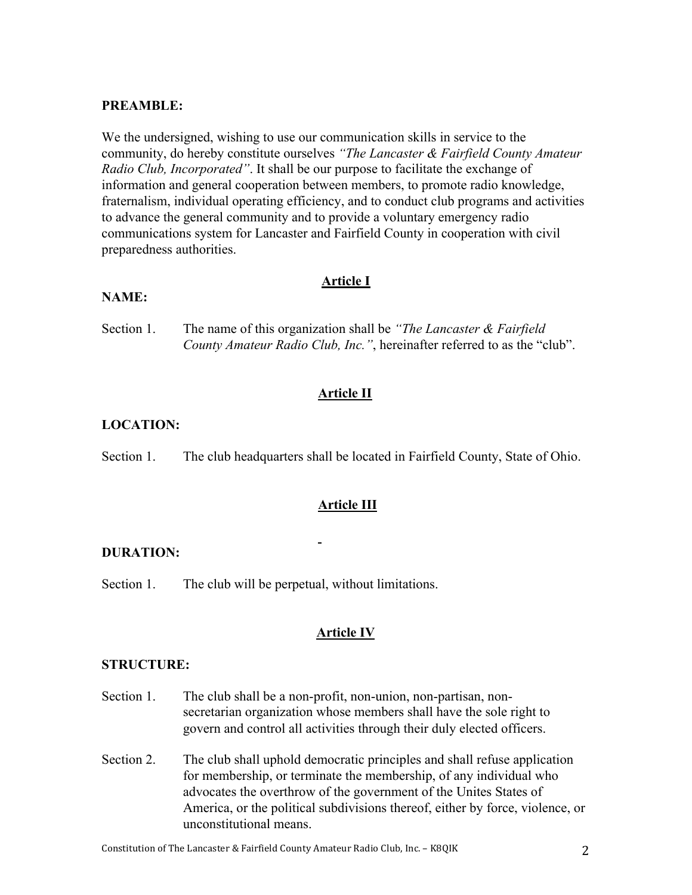### **PREAMBLE:**

We the undersigned, wishing to use our communication skills in service to the community, do hereby constitute ourselves *"The Lancaster & Fairfield County Amateur Radio Club, Incorporated"*. It shall be our purpose to facilitate the exchange of information and general cooperation between members, to promote radio knowledge, fraternalism, individual operating efficiency, and to conduct club programs and activities to advance the general community and to provide a voluntary emergency radio communications system for Lancaster and Fairfield County in cooperation with civil preparedness authorities.

#### **Article I**

#### **NAME:**

Section 1. The name of this organization shall be *"The Lancaster & Fairfield County Amateur Radio Club, Inc."*, hereinafter referred to as the "club".

### **Article II**

# **LOCATION:**

Section 1. The club headquarters shall be located in Fairfield County, State of Ohio.

#### **Article III**

#### **DURATION:**

Section 1. The club will be perpetual, without limitations.

### **Article IV**

#### **STRUCTURE:**

- Section 1. The club shall be a non-profit, non-union, non-partisan, nonsecretarian organization whose members shall have the sole right to govern and control all activities through their duly elected officers.
- Section 2. The club shall uphold democratic principles and shall refuse application for membership, or terminate the membership, of any individual who advocates the overthrow of the government of the Unites States of America, or the political subdivisions thereof, either by force, violence, or unconstitutional means.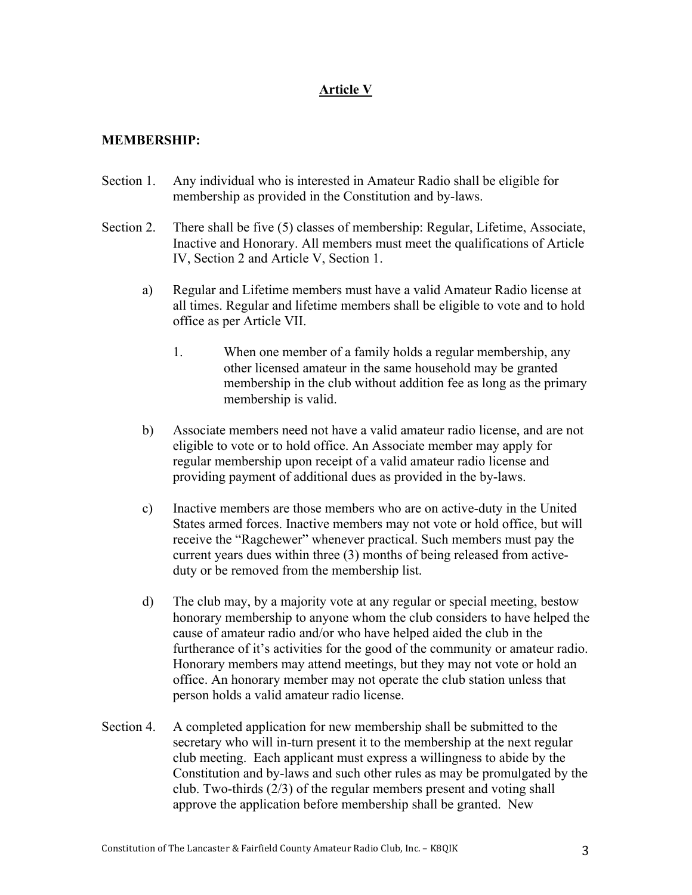# **Article V**

# **MEMBERSHIP:**

- Section 1. Any individual who is interested in Amateur Radio shall be eligible for membership as provided in the Constitution and by-laws.
- Section 2. There shall be five (5) classes of membership: Regular, Lifetime, Associate, Inactive and Honorary. All members must meet the qualifications of Article IV, Section 2 and Article V, Section 1.
	- a) Regular and Lifetime members must have a valid Amateur Radio license at all times. Regular and lifetime members shall be eligible to vote and to hold office as per Article VII.
		- 1. When one member of a family holds a regular membership, any other licensed amateur in the same household may be granted membership in the club without addition fee as long as the primary membership is valid.
	- b) Associate members need not have a valid amateur radio license, and are not eligible to vote or to hold office. An Associate member may apply for regular membership upon receipt of a valid amateur radio license and providing payment of additional dues as provided in the by-laws.
	- c) Inactive members are those members who are on active-duty in the United States armed forces. Inactive members may not vote or hold office, but will receive the "Ragchewer" whenever practical. Such members must pay the current years dues within three (3) months of being released from activeduty or be removed from the membership list.
	- d) The club may, by a majority vote at any regular or special meeting, bestow honorary membership to anyone whom the club considers to have helped the cause of amateur radio and/or who have helped aided the club in the furtherance of it's activities for the good of the community or amateur radio. Honorary members may attend meetings, but they may not vote or hold an office. An honorary member may not operate the club station unless that person holds a valid amateur radio license.
- Section 4. A completed application for new membership shall be submitted to the secretary who will in-turn present it to the membership at the next regular club meeting. Each applicant must express a willingness to abide by the Constitution and by-laws and such other rules as may be promulgated by the club. Two-thirds (2/3) of the regular members present and voting shall approve the application before membership shall be granted. New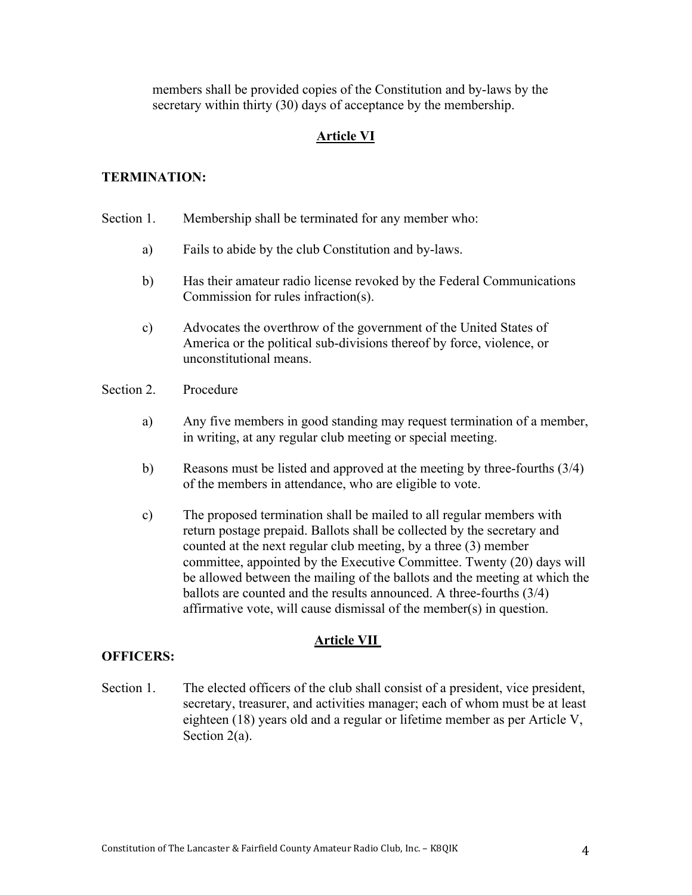members shall be provided copies of the Constitution and by-laws by the secretary within thirty (30) days of acceptance by the membership.

# **Article VI**

#### **TERMINATION:**

- Section 1. Membership shall be terminated for any member who:
	- a) Fails to abide by the club Constitution and by-laws.
	- b) Has their amateur radio license revoked by the Federal Communications Commission for rules infraction(s).
	- c) Advocates the overthrow of the government of the United States of America or the political sub-divisions thereof by force, violence, or unconstitutional means.
- Section 2. Procedure
	- a) Any five members in good standing may request termination of a member, in writing, at any regular club meeting or special meeting.
	- b) Reasons must be listed and approved at the meeting by three-fourths (3/4) of the members in attendance, who are eligible to vote.
	- c) The proposed termination shall be mailed to all regular members with return postage prepaid. Ballots shall be collected by the secretary and counted at the next regular club meeting, by a three (3) member committee, appointed by the Executive Committee. Twenty (20) days will be allowed between the mailing of the ballots and the meeting at which the ballots are counted and the results announced. A three-fourths (3/4) affirmative vote, will cause dismissal of the member(s) in question.

### **Article VII**

#### **OFFICERS:**

Section 1. The elected officers of the club shall consist of a president, vice president, secretary, treasurer, and activities manager; each of whom must be at least eighteen (18) years old and a regular or lifetime member as per Article V, Section 2(a).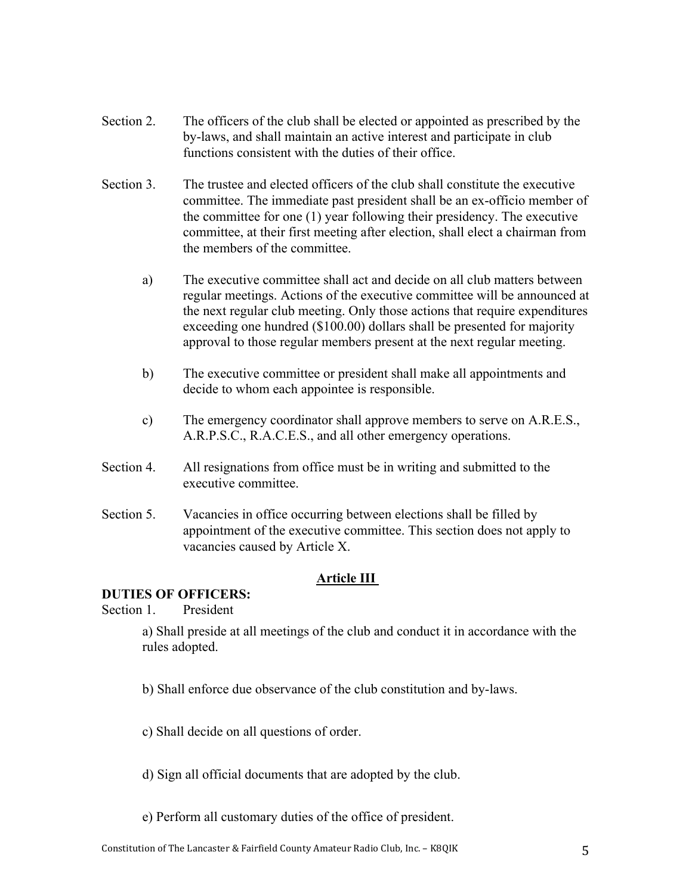- Section 2. The officers of the club shall be elected or appointed as prescribed by the by-laws, and shall maintain an active interest and participate in club functions consistent with the duties of their office.
- Section 3. The trustee and elected officers of the club shall constitute the executive committee. The immediate past president shall be an ex-officio member of the committee for one (1) year following their presidency. The executive committee, at their first meeting after election, shall elect a chairman from the members of the committee.
	- a) The executive committee shall act and decide on all club matters between regular meetings. Actions of the executive committee will be announced at the next regular club meeting. Only those actions that require expenditures exceeding one hundred (\$100.00) dollars shall be presented for majority approval to those regular members present at the next regular meeting.
	- b) The executive committee or president shall make all appointments and decide to whom each appointee is responsible.
	- c) The emergency coordinator shall approve members to serve on A.R.E.S., A.R.P.S.C., R.A.C.E.S., and all other emergency operations.
- Section 4. All resignations from office must be in writing and submitted to the executive committee.
- Section 5. Vacancies in office occurring between elections shall be filled by appointment of the executive committee. This section does not apply to vacancies caused by Article X.

# **Article III**

### **DUTIES OF OFFICERS:**

Section 1. President

a) Shall preside at all meetings of the club and conduct it in accordance with the rules adopted.

- b) Shall enforce due observance of the club constitution and by-laws.
- c) Shall decide on all questions of order.
- d) Sign all official documents that are adopted by the club.
- e) Perform all customary duties of the office of president.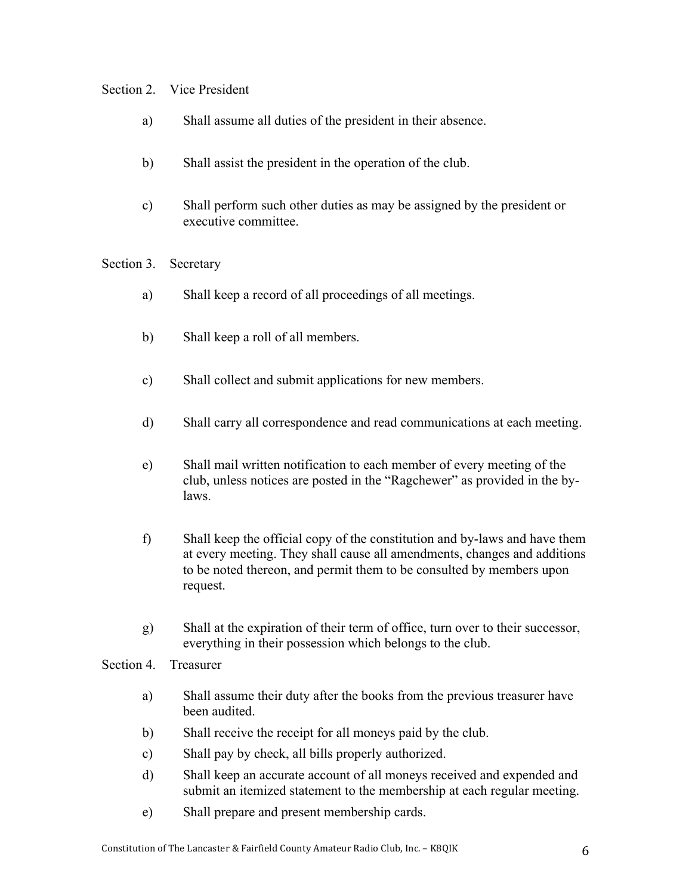# Section 2. Vice President

- a) Shall assume all duties of the president in their absence.
- b) Shall assist the president in the operation of the club.
- c) Shall perform such other duties as may be assigned by the president or executive committee.

Section 3. Secretary

- a) Shall keep a record of all proceedings of all meetings.
- b) Shall keep a roll of all members.
- c) Shall collect and submit applications for new members.
- d) Shall carry all correspondence and read communications at each meeting.
- e) Shall mail written notification to each member of every meeting of the club, unless notices are posted in the "Ragchewer" as provided in the bylaws.
- f) Shall keep the official copy of the constitution and by-laws and have them at every meeting. They shall cause all amendments, changes and additions to be noted thereon, and permit them to be consulted by members upon request.
- g) Shall at the expiration of their term of office, turn over to their successor, everything in their possession which belongs to the club.

Section 4. Treasurer

- a) Shall assume their duty after the books from the previous treasurer have been audited.
- b) Shall receive the receipt for all moneys paid by the club.
- c) Shall pay by check, all bills properly authorized.
- d) Shall keep an accurate account of all moneys received and expended and submit an itemized statement to the membership at each regular meeting.
- e) Shall prepare and present membership cards.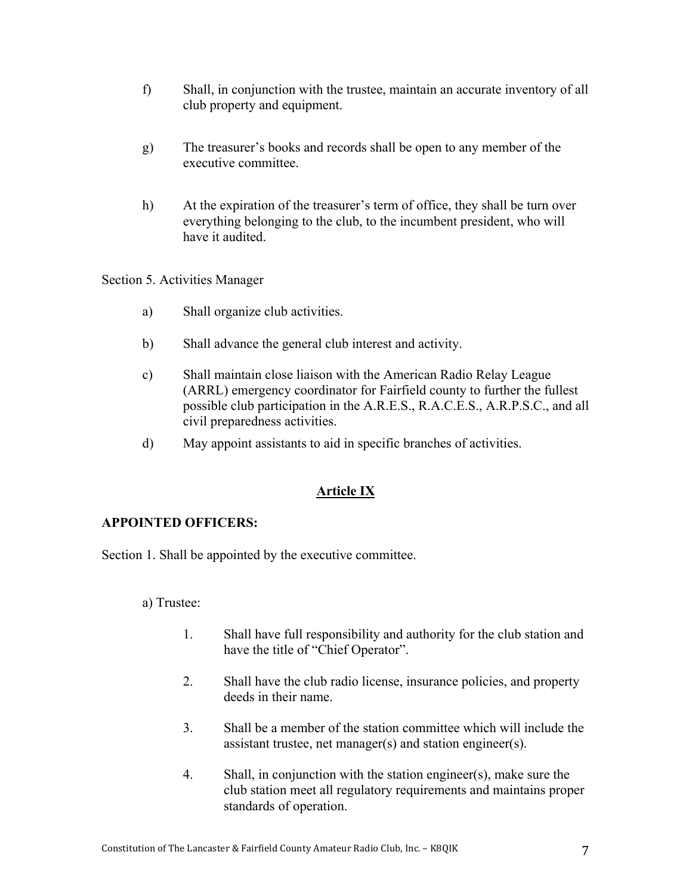- f) Shall, in conjunction with the trustee, maintain an accurate inventory of all club property and equipment.
- g) The treasurer's books and records shall be open to any member of the executive committee.
- h) At the expiration of the treasurer's term of office, they shall be turn over everything belonging to the club, to the incumbent president, who will have it audited.

Section 5. Activities Manager

- a) Shall organize club activities.
- b) Shall advance the general club interest and activity.
- c) Shall maintain close liaison with the American Radio Relay League (ARRL) emergency coordinator for Fairfield county to further the fullest possible club participation in the A.R.E.S., R.A.C.E.S., A.R.P.S.C., and all civil preparedness activities.
- d) May appoint assistants to aid in specific branches of activities.

### **Article IX**

### **APPOINTED OFFICERS:**

Section 1. Shall be appointed by the executive committee.

a) Trustee:

- 1. Shall have full responsibility and authority for the club station and have the title of "Chief Operator".
- 2. Shall have the club radio license, insurance policies, and property deeds in their name.
- 3. Shall be a member of the station committee which will include the assistant trustee, net manager(s) and station engineer(s).
- 4. Shall, in conjunction with the station engineer(s), make sure the club station meet all regulatory requirements and maintains proper standards of operation.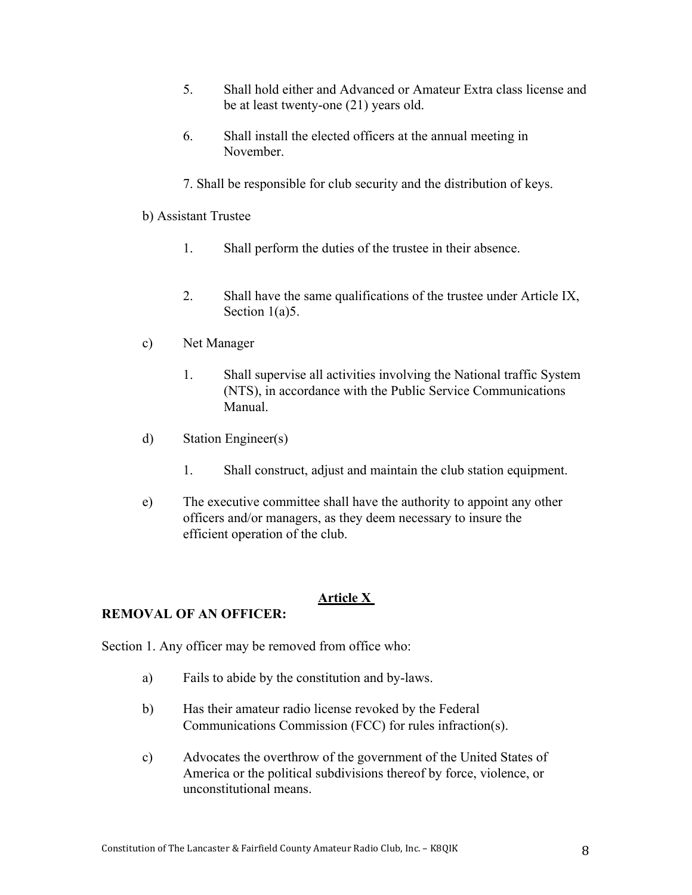- 5. Shall hold either and Advanced or Amateur Extra class license and be at least twenty-one (21) years old.
- 6. Shall install the elected officers at the annual meeting in November.
- 7. Shall be responsible for club security and the distribution of keys.

### b) Assistant Trustee

- 1. Shall perform the duties of the trustee in their absence.
- 2. Shall have the same qualifications of the trustee under Article IX, Section 1(a)5.
- c) Net Manager
	- 1. Shall supervise all activities involving the National traffic System (NTS), in accordance with the Public Service Communications Manual.
- d) Station Engineer(s)
	- 1. Shall construct, adjust and maintain the club station equipment.
- e) The executive committee shall have the authority to appoint any other officers and/or managers, as they deem necessary to insure the efficient operation of the club.

### **Article X**

### **REMOVAL OF AN OFFICER:**

Section 1. Any officer may be removed from office who:

- a) Fails to abide by the constitution and by-laws.
- b) Has their amateur radio license revoked by the Federal Communications Commission (FCC) for rules infraction(s).
- c) Advocates the overthrow of the government of the United States of America or the political subdivisions thereof by force, violence, or unconstitutional means.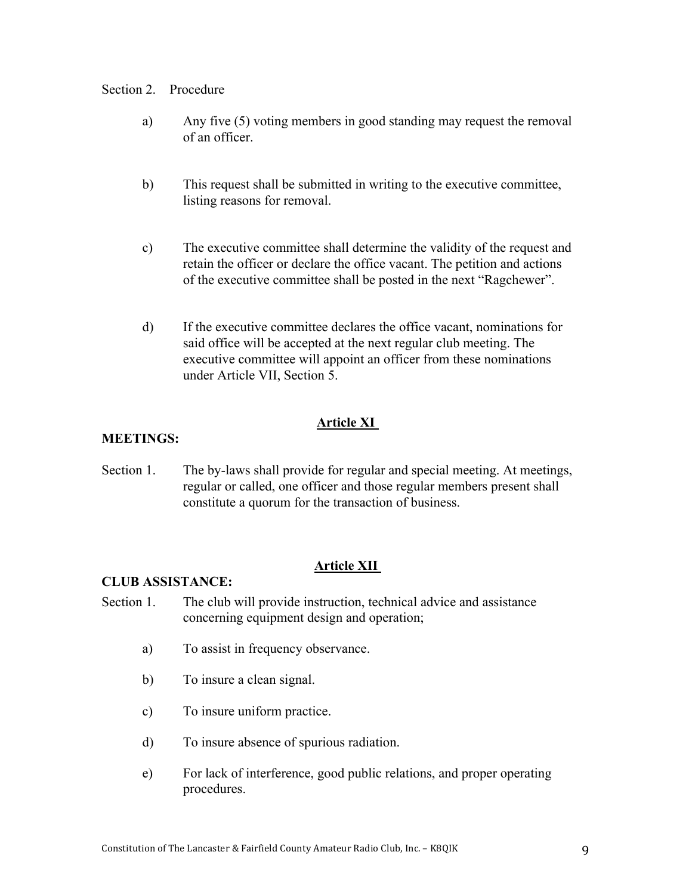#### Section 2. Procedure

- a) Any five (5) voting members in good standing may request the removal of an officer.
- b) This request shall be submitted in writing to the executive committee, listing reasons for removal.
- c) The executive committee shall determine the validity of the request and retain the officer or declare the office vacant. The petition and actions of the executive committee shall be posted in the next "Ragchewer".
- d) If the executive committee declares the office vacant, nominations for said office will be accepted at the next regular club meeting. The executive committee will appoint an officer from these nominations under Article VII, Section 5.

# **Article XI**

# **MEETINGS:**

Section 1. The by-laws shall provide for regular and special meeting. At meetings, regular or called, one officer and those regular members present shall constitute a quorum for the transaction of business.

### **Article XII**

### **CLUB ASSISTANCE:**

- Section 1. The club will provide instruction, technical advice and assistance concerning equipment design and operation;
	- a) To assist in frequency observance.
	- b) To insure a clean signal.
	- c) To insure uniform practice.
	- d) To insure absence of spurious radiation.
	- e) For lack of interference, good public relations, and proper operating procedures.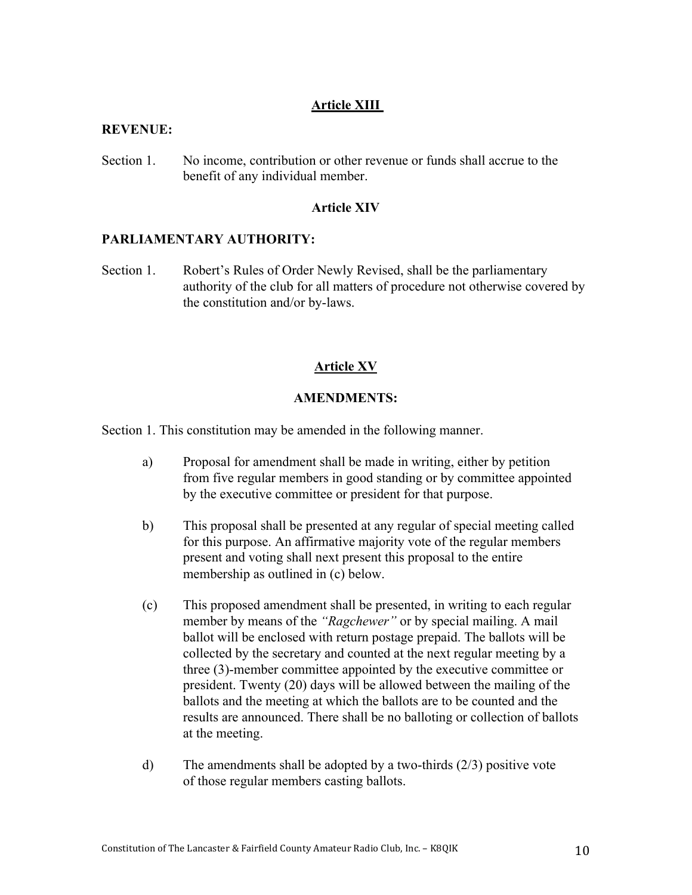# **Article XIII**

### **REVENUE:**

Section 1. No income, contribution or other revenue or funds shall accrue to the benefit of any individual member.

#### **Article XIV**

# **PARLIAMENTARY AUTHORITY:**

Section 1. Robert's Rules of Order Newly Revised, shall be the parliamentary authority of the club for all matters of procedure not otherwise covered by the constitution and/or by-laws.

#### **Article XV**

#### **AMENDMENTS:**

Section 1. This constitution may be amended in the following manner.

- a) Proposal for amendment shall be made in writing, either by petition from five regular members in good standing or by committee appointed by the executive committee or president for that purpose.
- b) This proposal shall be presented at any regular of special meeting called for this purpose. An affirmative majority vote of the regular members present and voting shall next present this proposal to the entire membership as outlined in (c) below.
- (c) This proposed amendment shall be presented, in writing to each regular member by means of the *"Ragchewer"* or by special mailing. A mail ballot will be enclosed with return postage prepaid. The ballots will be collected by the secretary and counted at the next regular meeting by a three (3)-member committee appointed by the executive committee or president. Twenty (20) days will be allowed between the mailing of the ballots and the meeting at which the ballots are to be counted and the results are announced. There shall be no balloting or collection of ballots at the meeting.
- d) The amendments shall be adopted by a two-thirds (2/3) positive vote of those regular members casting ballots.